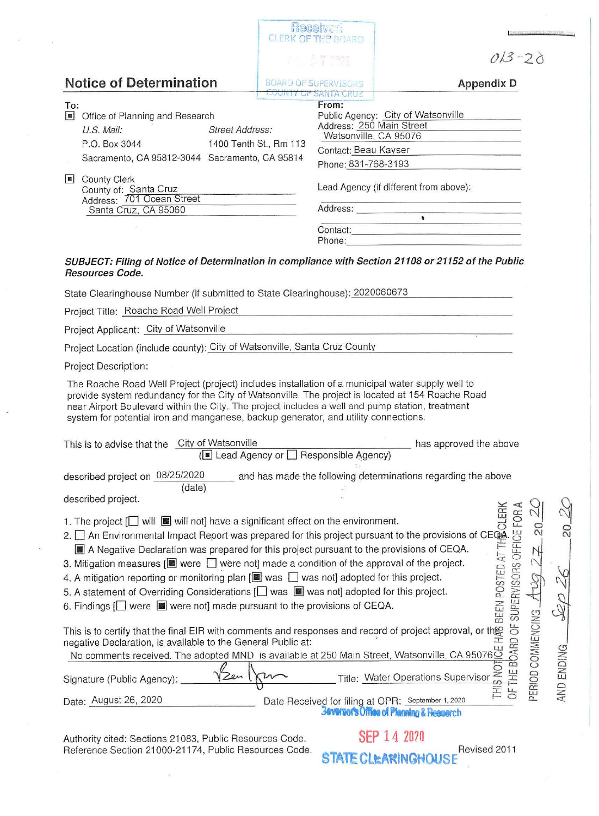|                                                                                                                                                                                                                                                                                                                                                                                                | Receives<br><b>CLERK OF THE BOARD</b> |                                                                                                                                          |                                                                                                           |
|------------------------------------------------------------------------------------------------------------------------------------------------------------------------------------------------------------------------------------------------------------------------------------------------------------------------------------------------------------------------------------------------|---------------------------------------|------------------------------------------------------------------------------------------------------------------------------------------|-----------------------------------------------------------------------------------------------------------|
|                                                                                                                                                                                                                                                                                                                                                                                                |                                       | 1.127722                                                                                                                                 | $013 - 20$                                                                                                |
| <b>Notice of Determination</b>                                                                                                                                                                                                                                                                                                                                                                 |                                       | <b>BOARD OF SUPERVISORS</b>                                                                                                              | <b>Appendix D</b>                                                                                         |
| To:<br>$\blacksquare$<br>Office of Planning and Research<br>U.S. Mail:<br><b>Street Address:</b><br>P.O. Box 3044<br>Sacramento, CA 95812-3044 Sacramento, CA 95814                                                                                                                                                                                                                            | 1400 Tenth St., Rm 113                | <b>COUNTY OF SANTA CRUZ</b><br>From:<br>Address: 250 Main Street<br>Watsonville, CA 95076<br>Contact: Beau Kayser<br>Phone: 831-768-3193 | Public Agency: City of Watsonville                                                                        |
| <b>County Clerk</b><br>$\blacksquare$<br>County of: Santa Cruz<br>Address: 701 Ocean Street<br>Santa Cruz, CA 95060                                                                                                                                                                                                                                                                            |                                       |                                                                                                                                          | Lead Agency (if different from above):<br>Address:<br>Contact:<br>Phone:                                  |
| SUBJECT: Filing of Notice of Determination in compliance with Section 21108 or 21152 of the Public<br>Resources Code.                                                                                                                                                                                                                                                                          |                                       |                                                                                                                                          |                                                                                                           |
| State Clearinghouse Number (if submitted to State Clearinghouse): 2020060673                                                                                                                                                                                                                                                                                                                   |                                       |                                                                                                                                          |                                                                                                           |
| Project Title: Roache Road Well Project                                                                                                                                                                                                                                                                                                                                                        |                                       |                                                                                                                                          |                                                                                                           |
| Project Applicant: City of Watsonville                                                                                                                                                                                                                                                                                                                                                         |                                       |                                                                                                                                          |                                                                                                           |
| Project Location (include county): City of Watsonville, Santa Cruz County                                                                                                                                                                                                                                                                                                                      |                                       |                                                                                                                                          |                                                                                                           |
| Project Description:                                                                                                                                                                                                                                                                                                                                                                           |                                       |                                                                                                                                          |                                                                                                           |
| The Roache Road Well Project (project) includes installation of a municipal water supply well to<br>provide system redundancy for the City of Watsonville. The project is located at 154 Roache Road<br>near Airport Boulevard within the City. The project includes a well and pump station, treatment<br>system for potential iron and manganese, backup generator, and utility connections. |                                       |                                                                                                                                          |                                                                                                           |
| This is to advise that the City of Watsonville                                                                                                                                                                                                                                                                                                                                                 |                                       | (■ Lead Agency or □ Responsible Agency)                                                                                                  | has approved the above                                                                                    |
|                                                                                                                                                                                                                                                                                                                                                                                                |                                       |                                                                                                                                          |                                                                                                           |
| described project on 08/25/2020<br>(date)                                                                                                                                                                                                                                                                                                                                                      |                                       |                                                                                                                                          | and has made the following determinations regarding the above                                             |
| described project.                                                                                                                                                                                                                                                                                                                                                                             |                                       |                                                                                                                                          |                                                                                                           |
| described project.<br>1. The project $\boxed{\Box}$ will $\boxed{\blacksquare}$ will not] have a significant effect on the environment.<br>2. $\boxed{\Box}$ An Environmental Impact Report was prepared for this project pursuant to the provisions of CEQA                                                                                                                                   |                                       |                                                                                                                                          | SUPERVISORS OFFICE FOR A<br>$\Omega$                                                                      |
| This is to certify that the final EIR with comments and responses and record of project approval, or the negative Declaration, is available to the General Public at:<br>negative Declaration, is available to the General Public at:<br>No comments received. The adopted MND is available at 250 Main Street, Watsonville, CA 95076                                                          |                                       |                                                                                                                                          | PERIOD COMMENCING<br>5<br>THE BOARD<br>AND ENDING<br>S<br>S<br>Title: Water Operations Supervisor         |
| Signature (Public Agency):                                                                                                                                                                                                                                                                                                                                                                     |                                       |                                                                                                                                          | $_{LL}$                                                                                                   |
| Date: August 26, 2020                                                                                                                                                                                                                                                                                                                                                                          |                                       |                                                                                                                                          | Date Received for filing at OPR: September 1, 2020<br><b>Beversor's Office of Planning &amp; Research</b> |
| Authority cited: Sections 21083, Public Resources Code.                                                                                                                                                                                                                                                                                                                                        |                                       |                                                                                                                                          | <b>SEP 14 2020</b>                                                                                        |

**STATE CLEARINGHOUSE** Revised 2011

Reference Section 21000-21174, Public Resources Code.

 $^{\prime\prime}$ 

 $\bar{u}$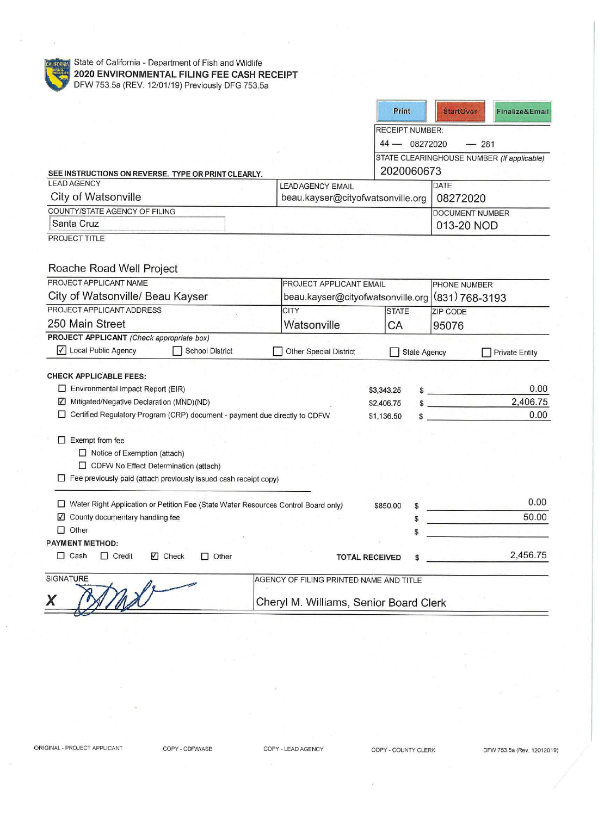

State of California - Department of Fish and Wildlife **2020 ENVIRONMENTAL FILING FEE CASH RECEIPT**  DFW 753.5a (REV. 12/01/19) Previously DFG 753.5a

|                                                                                            |                                         |            | Print               | <b>StartOver</b>       | Finalize&Email                             |  |
|--------------------------------------------------------------------------------------------|-----------------------------------------|------------|---------------------|------------------------|--------------------------------------------|--|
|                                                                                            | <b>RECEIPT NUMBER:</b>                  |            |                     |                        |                                            |  |
|                                                                                            | 44 - 08272020                           |            |                     | $-281$                 |                                            |  |
|                                                                                            |                                         |            |                     |                        | STATE CLEARINGHOUSE NUMBER (If applicable) |  |
| SEE INSTRUCTIONS ON REVERSE. TYPE OR PRINT CLEARLY.                                        |                                         |            | 2020060673          |                        |                                            |  |
| <b>LEAD AGENCY</b>                                                                         | <b>LEADAGENCY EMAIL</b>                 |            |                     | <b>DATE</b>            |                                            |  |
| City of Watsonville                                                                        | beau.kayser@cityofwatsonville.org       |            |                     | 08272020               |                                            |  |
| COUNTY/STATE AGENCY OF FILING                                                              |                                         |            |                     | <b>DOCUMENT NUMBER</b> |                                            |  |
| Santa Cruz                                                                                 |                                         |            |                     | 013-20 NOD             |                                            |  |
| <b>PROJECT TITLE</b>                                                                       |                                         |            |                     |                        |                                            |  |
| Roache Road Well Project<br>PROJECT APPLICANT NAME                                         | <b>PROJECT APPLICANT EMAIL</b>          |            |                     | PHONE NUMBER           |                                            |  |
| City of Watsonville/ Beau Kayser<br>beau.kayser@cityofwatsonville.org                      |                                         |            |                     | $(831)$ 768-3193       |                                            |  |
| PROJECT APPLICANT ADDRESS                                                                  | <b>CITY</b>                             |            | <b>STATE</b>        | ZIP CODE               |                                            |  |
| 250 Main Street                                                                            | Watsonville                             | СA         |                     | 95076                  |                                            |  |
| PROJECT APPLICANT (Check appropriate box)                                                  |                                         |            |                     |                        |                                            |  |
| $\sqrt{}$<br>Local Public Agency<br><b>School District</b>                                 | Other Special District                  |            | <b>State Agency</b> |                        | <b>Private Entity</b>                      |  |
|                                                                                            |                                         |            |                     |                        |                                            |  |
| <b>CHECK APPLICABLE FEES:</b>                                                              |                                         |            |                     |                        |                                            |  |
| $\Box$ Environmental Impact Report (EIR)                                                   |                                         | \$3,343.25 |                     | $\frac{1}{2}$          | 0.00                                       |  |
| Mitigated/Negative Declaration (MND)(ND)<br>M                                              |                                         |            | \$2,406.75          | $\sim$                 | 2,406.75                                   |  |
| □ Certified Regulatory Program (CRP) document - payment due directly to CDFW<br>\$1,136.50 |                                         |            |                     |                        | 0.00                                       |  |
|                                                                                            |                                         |            |                     |                        |                                            |  |
| Exempt from fee<br>H                                                                       |                                         |            |                     |                        |                                            |  |
| $\Box$ Notice of Exemption (attach)<br>CDFW No Effect Determination (attach)               |                                         |            |                     |                        |                                            |  |
| Fee previously paid (attach previously issued cash receipt copy)                           |                                         |            |                     |                        |                                            |  |
|                                                                                            |                                         |            |                     |                        |                                            |  |
| □ Water Right Application or Petition Fee (State Water Resources Control Board only)       |                                         | \$850.00   |                     |                        | 0.00                                       |  |
| ☑ County documentary handling fee                                                          |                                         |            |                     |                        | 50.00                                      |  |
| $\Box$ Other                                                                               |                                         |            |                     |                        |                                            |  |
| <b>PAYMENT METHOD:</b>                                                                     |                                         |            |                     |                        |                                            |  |
| $\Box$ Cash<br>$\Box$ Credit<br>√ Check<br>$\Box$ Other<br><b>TOTAL RECEIVED</b>           |                                         |            |                     |                        | 2,456.75                                   |  |
| <b>SIGNATURE</b>                                                                           | AGENCY OF FILING PRINTED NAME AND TITLE |            |                     |                        |                                            |  |
|                                                                                            |                                         |            |                     |                        |                                            |  |
| X                                                                                          | Cheryl M. Williams, Senior Board Clerk  |            |                     |                        |                                            |  |